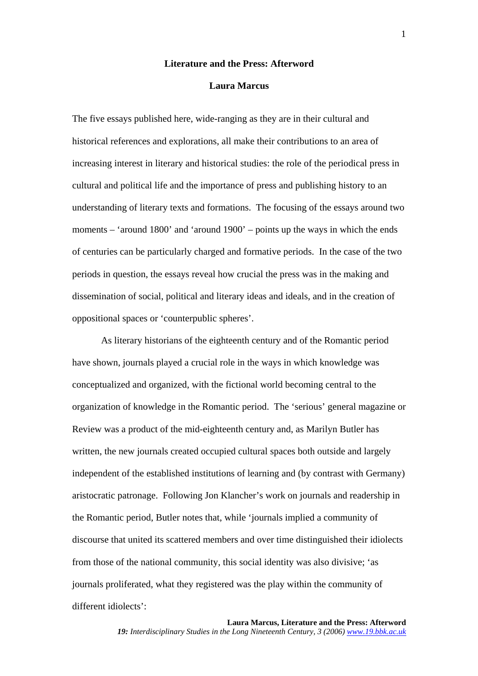## **Literature and the Press: Afterword**

## **Laura Marcus**

The five essays published here, wide-ranging as they are in their cultural and historical references and explorations, all make their contributions to an area of increasing interest in literary and historical studies: the role of the periodical press in cultural and political life and the importance of press and publishing history to an understanding of literary texts and formations. The focusing of the essays around two moments – 'around 1800' and 'around 1900' – points up the ways in which the ends of centuries can be particularly charged and formative periods. In the case of the two periods in question, the essays reveal how crucial the press was in the making and dissemination of social, political and literary ideas and ideals, and in the creation of oppositional spaces or 'counterpublic spheres'.

As literary historians of the eighteenth century and of the Romantic period have shown, journals played a crucial role in the ways in which knowledge was conceptualized and organized, with the fictional world becoming central to the organization of knowledge in the Romantic period. The 'serious' general magazine or Review was a product of the mid-eighteenth century and, as Marilyn Butler has written, the new journals created occupied cultural spaces both outside and largely independent of the established institutions of learning and (by contrast with Germany) aristocratic patronage. Following Jon Klancher's work on journals and readership in the Romantic period, Butler notes that, while 'journals implied a community of discourse that united its scattered members and over time distinguished their idiolects from those of the national community, this social identity was also divisive; 'as journals proliferated, what they registered was the play within the community of different idiolects':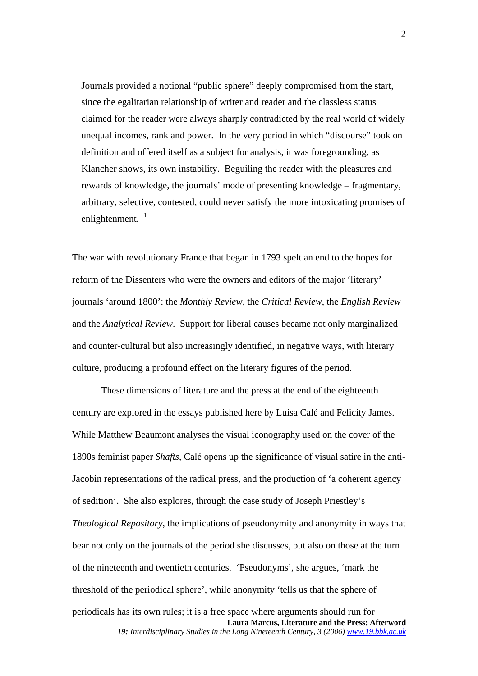Journals provided a notional "public sphere" deeply compromised from the start, since the egalitarian relationship of writer and reader and the classless status claimed for the reader were always sharply contradicted by the real world of widely unequal incomes, rank and power. In the very period in which "discourse" took on definition and offered itself as a subject for analysis, it was foregrounding, as Klancher shows, its own instability. Beguiling the reader with the pleasures and rewards of knowledge, the journals' mode of presenting knowledge – fragmentary, arbitrary, selective, contested, could never satisfy the more intoxicating promises of enlightenment.  $1$ 

The war with revolutionary France that began in 1793 spelt an end to the hopes for reform of the Dissenters who were the owners and editors of the major 'literary' journals 'around 1800': the *Monthly Review*, the *Critical Review*, the *English Review* and the *Analytical Review*. Support for liberal causes became not only marginalized and counter-cultural but also increasingly identified, in negative ways, with literary culture, producing a profound effect on the literary figures of the period.

**Laura Marcus, Literature and the Press: Afterword**  These dimensions of literature and the press at the end of the eighteenth century are explored in the essays published here by Luisa Calé and Felicity James. While Matthew Beaumont analyses the visual iconography used on the cover of the 1890s feminist paper *Shafts*, Calé opens up the significance of visual satire in the anti-Jacobin representations of the radical press, and the production of 'a coherent agency of sedition'. She also explores, through the case study of Joseph Priestley's *Theological Repository*, the implications of pseudonymity and anonymity in ways that bear not only on the journals of the period she discusses, but also on those at the turn of the nineteenth and twentieth centuries. 'Pseudonyms', she argues, 'mark the threshold of the periodical sphere', while anonymity 'tells us that the sphere of periodicals has its own rules; it is a free space where arguments should run for *19: Interdisciplinary Studies in the Long Nineteenth Century, 3 (2006) www.19.bbk.ac.uk*

2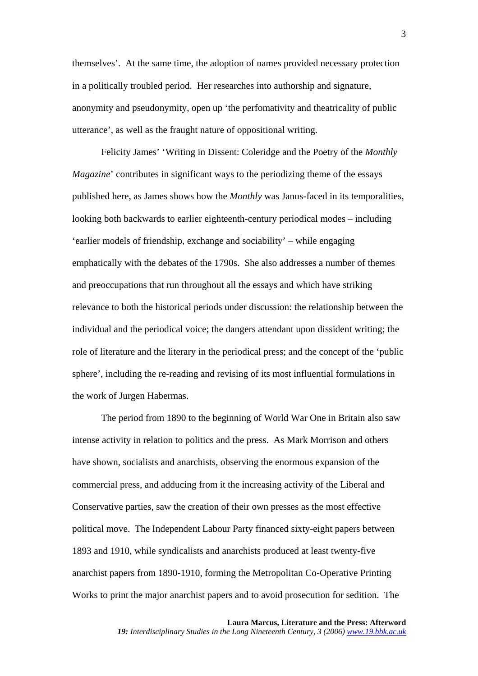themselves'. At the same time, the adoption of names provided necessary protection in a politically troubled period. Her researches into authorship and signature, anonymity and pseudonymity, open up 'the perfomativity and theatricality of public utterance', as well as the fraught nature of oppositional writing.

Felicity James' 'Writing in Dissent: Coleridge and the Poetry of the *Monthly Magazine*' contributes in significant ways to the periodizing theme of the essays published here, as James shows how the *Monthly* was Janus-faced in its temporalities, looking both backwards to earlier eighteenth-century periodical modes – including 'earlier models of friendship, exchange and sociability' – while engaging emphatically with the debates of the 1790s. She also addresses a number of themes and preoccupations that run throughout all the essays and which have striking relevance to both the historical periods under discussion: the relationship between the individual and the periodical voice; the dangers attendant upon dissident writing; the role of literature and the literary in the periodical press; and the concept of the 'public sphere', including the re-reading and revising of its most influential formulations in the work of Jurgen Habermas.

The period from 1890 to the beginning of World War One in Britain also saw intense activity in relation to politics and the press. As Mark Morrison and others have shown, socialists and anarchists, observing the enormous expansion of the commercial press, and adducing from it the increasing activity of the Liberal and Conservative parties, saw the creation of their own presses as the most effective political move. The Independent Labour Party financed sixty-eight papers between 1893 and 1910, while syndicalists and anarchists produced at least twenty-five anarchist papers from 1890-1910, forming the Metropolitan Co-Operative Printing Works to print the major anarchist papers and to avoid prosecution for sedition. The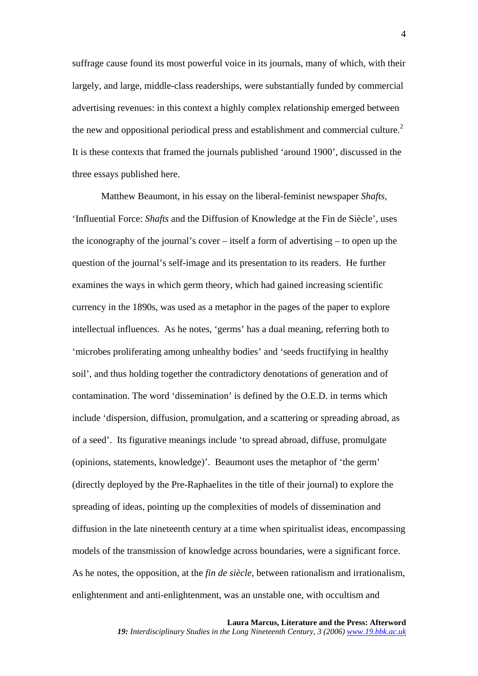suffrage cause found its most powerful voice in its journals, many of which, with their largely, and large, middle-class readerships, were substantially funded by commercial advertising revenues: in this context a highly complex relationship emerged between the new and oppositional periodical press and establishment and commercial culture.<sup>[2](#page-9-1)</sup> It is these contexts that framed the journals published 'around 1900', discussed in the three essays published here.

Matthew Beaumont, in his essay on the liberal-feminist newspaper *Shafts*, 'Influential Force: *Shafts* and the Diffusion of Knowledge at the Fin de Siècle', uses the iconography of the journal's cover – itself a form of advertising – to open up the question of the journal's self-image and its presentation to its readers. He further examines the ways in which germ theory, which had gained increasing scientific currency in the 1890s, was used as a metaphor in the pages of the paper to explore intellectual influences. As he notes, 'germs' has a dual meaning, referring both to 'microbes proliferating among unhealthy bodies' and 'seeds fructifying in healthy soil', and thus holding together the contradictory denotations of generation and of contamination. The word 'dissemination' is defined by the O.E.D. in terms which include 'dispersion, diffusion, promulgation, and a scattering or spreading abroad, as of a seed'. Its figurative meanings include 'to spread abroad, diffuse, promulgate (opinions, statements, knowledge)'. Beaumont uses the metaphor of 'the germ' (directly deployed by the Pre-Raphaelites in the title of their journal) to explore the spreading of ideas, pointing up the complexities of models of dissemination and diffusion in the late nineteenth century at a time when spiritualist ideas, encompassing models of the transmission of knowledge across boundaries, were a significant force. As he notes, the opposition, at the *fin de siècle*, between rationalism and irrationalism, enlightenment and anti-enlightenment, was an unstable one, with occultism and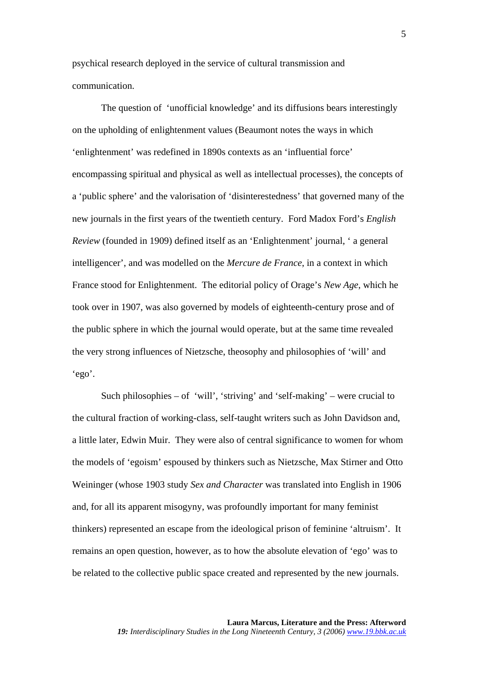psychical research deployed in the service of cultural transmission and communication.

The question of 'unofficial knowledge' and its diffusions bears interestingly on the upholding of enlightenment values (Beaumont notes the ways in which 'enlightenment' was redefined in 1890s contexts as an 'influential force' encompassing spiritual and physical as well as intellectual processes), the concepts of a 'public sphere' and the valorisation of 'disinterestedness' that governed many of the new journals in the first years of the twentieth century. Ford Madox Ford's *English Review* (founded in 1909) defined itself as an 'Enlightenment' journal, ' a general intelligencer', and was modelled on the *Mercure de France*, in a context in which France stood for Enlightenment. The editorial policy of Orage's *New Age*, which he took over in 1907, was also governed by models of eighteenth-century prose and of the public sphere in which the journal would operate, but at the same time revealed the very strong influences of Nietzsche, theosophy and philosophies of 'will' and 'ego'.

Such philosophies – of 'will', 'striving' and 'self-making' – were crucial to the cultural fraction of working-class, self-taught writers such as John Davidson and, a little later, Edwin Muir. They were also of central significance to women for whom the models of 'egoism' espoused by thinkers such as Nietzsche, Max Stirner and Otto Weininger (whose 1903 study *Sex and Character* was translated into English in 1906 and, for all its apparent misogyny, was profoundly important for many feminist thinkers) represented an escape from the ideological prison of feminine 'altruism'. It remains an open question, however, as to how the absolute elevation of 'ego' was to be related to the collective public space created and represented by the new journals.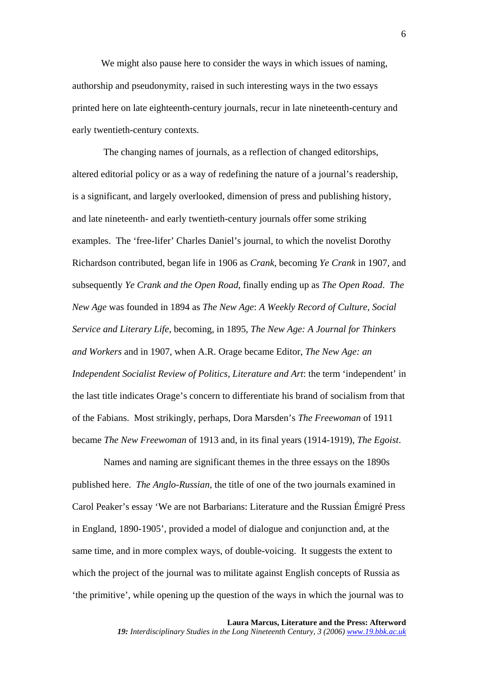We might also pause here to consider the ways in which issues of naming, authorship and pseudonymity, raised in such interesting ways in the two essays printed here on late eighteenth-century journals, recur in late nineteenth-century and early twentieth-century contexts.

 The changing names of journals, as a reflection of changed editorships, altered editorial policy or as a way of redefining the nature of a journal's readership, is a significant, and largely overlooked, dimension of press and publishing history, and late nineteenth- and early twentieth-century journals offer some striking examples. The 'free-lifer' Charles Daniel's journal, to which the novelist Dorothy Richardson contributed, began life in 1906 as *Crank*, becoming *Ye Crank* in 1907, and subsequently *Ye Crank and the Open Road*, finally ending up as *The Open Road*. *The New Age* was founded in 1894 as *The New Age*: *A Weekly Record of Culture, Social Service and Literary Life*, becoming, in 1895, *The New Age: A Journal for Thinkers and Workers* and in 1907, when A.R. Orage became Editor, *The New Age: an Independent Socialist Review of Politics, Literature and Art*: the term 'independent' in the last title indicates Orage's concern to differentiate his brand of socialism from that of the Fabians. Most strikingly, perhaps, Dora Marsden's *The Freewoman* of 1911 became *The New Freewoman* of 1913 and, in its final years (1914-1919), *The Egoist*.

 Names and naming are significant themes in the three essays on the 1890s published here. *The Anglo-Russian*, the title of one of the two journals examined in Carol Peaker's essay 'We are not Barbarians: Literature and the Russian Émigré Press in England, 1890-1905', provided a model of dialogue and conjunction and, at the same time, and in more complex ways, of double-voicing. It suggests the extent to which the project of the journal was to militate against English concepts of Russia as 'the primitive', while opening up the question of the ways in which the journal was to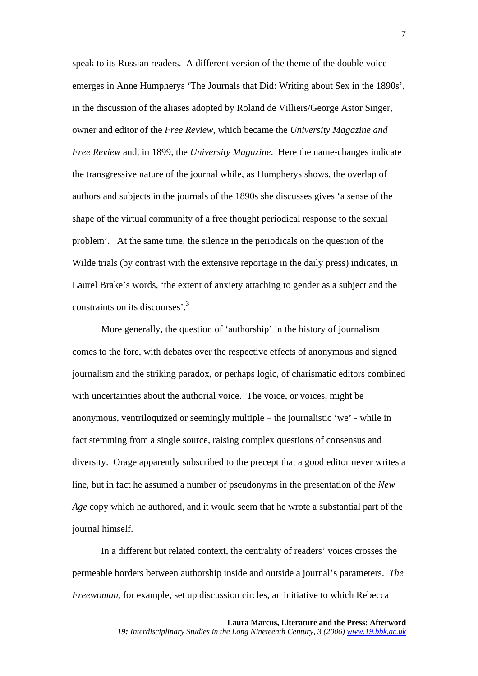speak to its Russian readers. A different version of the theme of the double voice emerges in Anne Humpherys 'The Journals that Did: Writing about Sex in the 1890s', in the discussion of the aliases adopted by Roland de Villiers/George Astor Singer, owner and editor of the *Free Review*, which became the *University Magazine and Free Review* and, in 1899, the *University Magazine*. Here the name-changes indicate the transgressive nature of the journal while, as Humpherys shows, the overlap of authors and subjects in the journals of the 1890s she discusses gives 'a sense of the shape of the virtual community of a free thought periodical response to the sexual problem'. At the same time, the silence in the periodicals on the question of the Wilde trials (by contrast with the extensive reportage in the daily press) indicates, in Laurel Brake's words, 'the extent of anxiety attaching to gender as a subject and the constraints on its discourses'.[3](#page-9-2)

More generally, the question of 'authorship' in the history of journalism comes to the fore, with debates over the respective effects of anonymous and signed journalism and the striking paradox, or perhaps logic, of charismatic editors combined with uncertainties about the authorial voice. The voice, or voices, might be anonymous, ventriloquized or seemingly multiple – the journalistic 'we' - while in fact stemming from a single source, raising complex questions of consensus and diversity. Orage apparently subscribed to the precept that a good editor never writes a line, but in fact he assumed a number of pseudonyms in the presentation of the *New Age* copy which he authored, and it would seem that he wrote a substantial part of the journal himself.

In a different but related context, the centrality of readers' voices crosses the permeable borders between authorship inside and outside a journal's parameters. *The Freewoman*, for example, set up discussion circles, an initiative to which Rebecca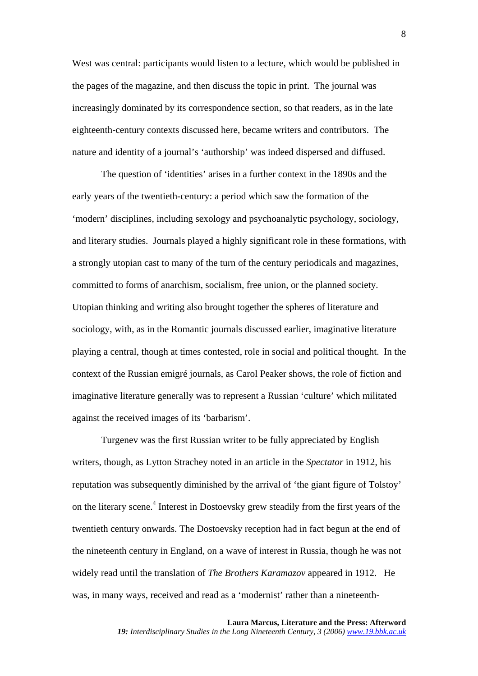West was central: participants would listen to a lecture, which would be published in the pages of the magazine, and then discuss the topic in print. The journal was increasingly dominated by its correspondence section, so that readers, as in the late eighteenth-century contexts discussed here, became writers and contributors. The nature and identity of a journal's 'authorship' was indeed dispersed and diffused.

The question of 'identities' arises in a further context in the 1890s and the early years of the twentieth-century: a period which saw the formation of the 'modern' disciplines, including sexology and psychoanalytic psychology, sociology, and literary studies. Journals played a highly significant role in these formations, with a strongly utopian cast to many of the turn of the century periodicals and magazines, committed to forms of anarchism, socialism, free union, or the planned society. Utopian thinking and writing also brought together the spheres of literature and sociology, with, as in the Romantic journals discussed earlier, imaginative literature playing a central, though at times contested, role in social and political thought. In the context of the Russian emigré journals, as Carol Peaker shows, the role of fiction and imaginative literature generally was to represent a Russian 'culture' which militated against the received images of its 'barbarism'.

Turgenev was the first Russian writer to be fully appreciated by English writers, though, as Lytton Strachey noted in an article in the *Spectator* in 1912, his reputation was subsequently diminished by the arrival of 'the giant figure of Tolstoy' on the literary scene.<sup>4</sup> Interest in Dostoevsky grew steadily from the first years of the twentieth century onwards. The Dostoevsky reception had in fact begun at the end of the nineteenth century in England, on a wave of interest in Russia, though he was not widely read until the translation of *The Brothers Karamazov* appeared in 1912. He was, in many ways, received and read as a 'modernist' rather than a nineteenth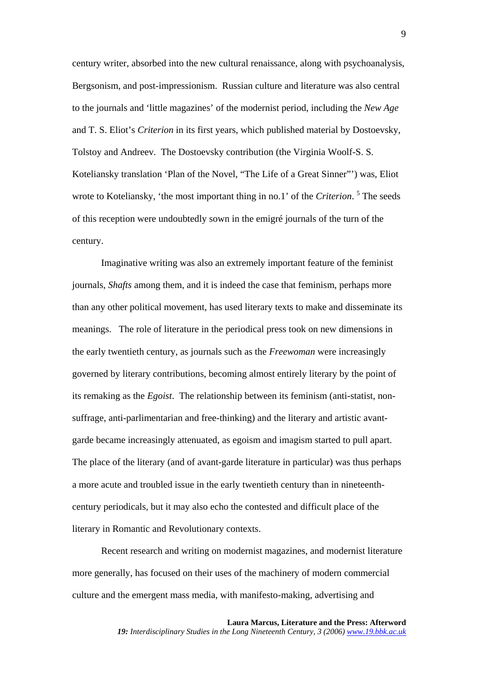century writer, absorbed into the new cultural renaissance, along with psychoanalysis, Bergsonism, and post-impressionism. Russian culture and literature was also central to the journals and 'little magazines' of the modernist period, including the *New Age* and T. S. Eliot's *Criterion* in its first years, which published material by Dostoevsky, Tolstoy and Andreev. The Dostoevsky contribution (the Virginia Woolf-S. S. Koteliansky translation 'Plan of the Novel, "The Life of a Great Sinner"') was, Eliot wrote to Koteliansky, 'the most important thing in no.1' of the *Criterion*.<sup>5</sup> [T](#page-9-4)he seeds of this reception were undoubtedly sown in the emigré journals of the turn of the century.

Imaginative writing was also an extremely important feature of the feminist journals, *Shafts* among them, and it is indeed the case that feminism, perhaps more than any other political movement, has used literary texts to make and disseminate its meanings. The role of literature in the periodical press took on new dimensions in the early twentieth century, as journals such as the *Freewoman* were increasingly governed by literary contributions, becoming almost entirely literary by the point of its remaking as the *Egoist*. The relationship between its feminism (anti-statist, nonsuffrage, anti-parlimentarian and free-thinking) and the literary and artistic avantgarde became increasingly attenuated, as egoism and imagism started to pull apart. The place of the literary (and of avant-garde literature in particular) was thus perhaps a more acute and troubled issue in the early twentieth century than in nineteenthcentury periodicals, but it may also echo the contested and difficult place of the literary in Romantic and Revolutionary contexts.

Recent research and writing on modernist magazines, and modernist literature more generally, has focused on their uses of the machinery of modern commercial culture and the emergent mass media, with manifesto-making, advertising and